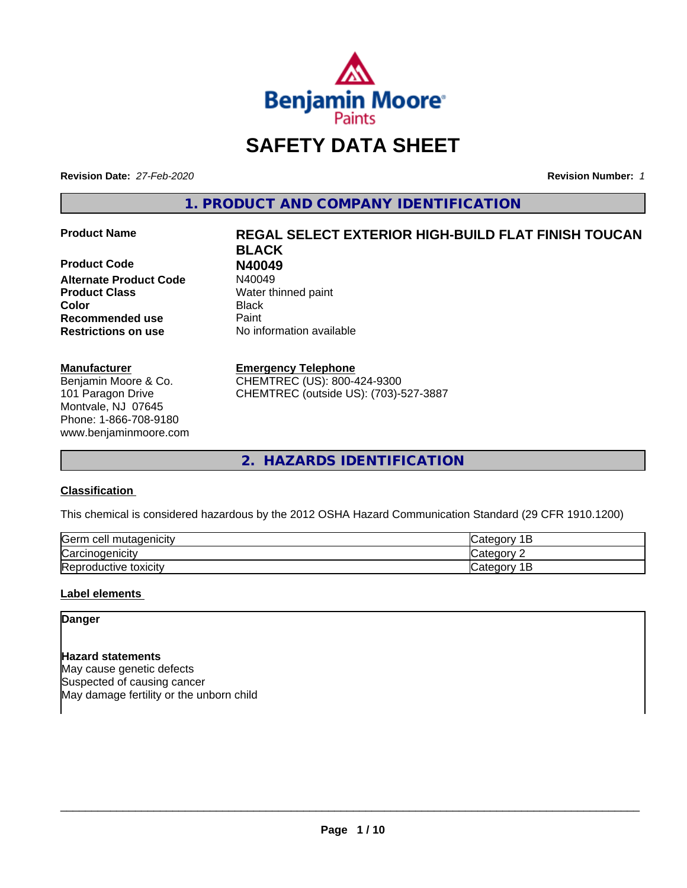

# **SAFETY DATA SHEET**

**Revision Date:** *27-Feb-2020* **Revision Number:** *1*

**1. PRODUCT AND COMPANY IDENTIFICATION**

**Product Code 1988**<br>**Alternate Product Code** N40049 **Alternate Product Code Product Class** Water thinned paint **Color** Black **Recommended use Caint Restrictions on use** No information available

# **Manufacturer**

Benjamin Moore & Co. 101 Paragon Drive Montvale, NJ 07645 Phone: 1-866-708-9180 www.benjaminmoore.com

# **Product Name REGAL SELECT EXTERIOR HIGH-BUILD FLAT FINISH TOUCAN BLACK**

# **Emergency Telephone**

CHEMTREC (US): 800-424-9300 CHEMTREC (outside US): (703)-527-3887

**2. HAZARDS IDENTIFICATION**

# **Classification**

This chemical is considered hazardous by the 2012 OSHA Hazard Communication Standard (29 CFR 1910.1200)

| <b>Serm</b><br>ı cell mutaqenicitv     | $\sim$ $\sim$ $\sim$<br>$\sim$ $\sim$<br>101<br>ــ    |
|----------------------------------------|-------------------------------------------------------|
| ⌒<br>arcır. ن<br><i>r</i> cinoaenicity | $\sim$ $\sim$ $\sim$ $\sim$ $\sim$<br>ำ่า+′<br>10     |
| Reproductive toxicity                  | . .<br>$\sim$ dl $e$ 00 <sup>n</sup> ' $\degree$<br>- |

# **Label elements**

**Danger**

**Hazard statements** May cause genetic defects Suspected of causing cancer May damage fertility or the unborn child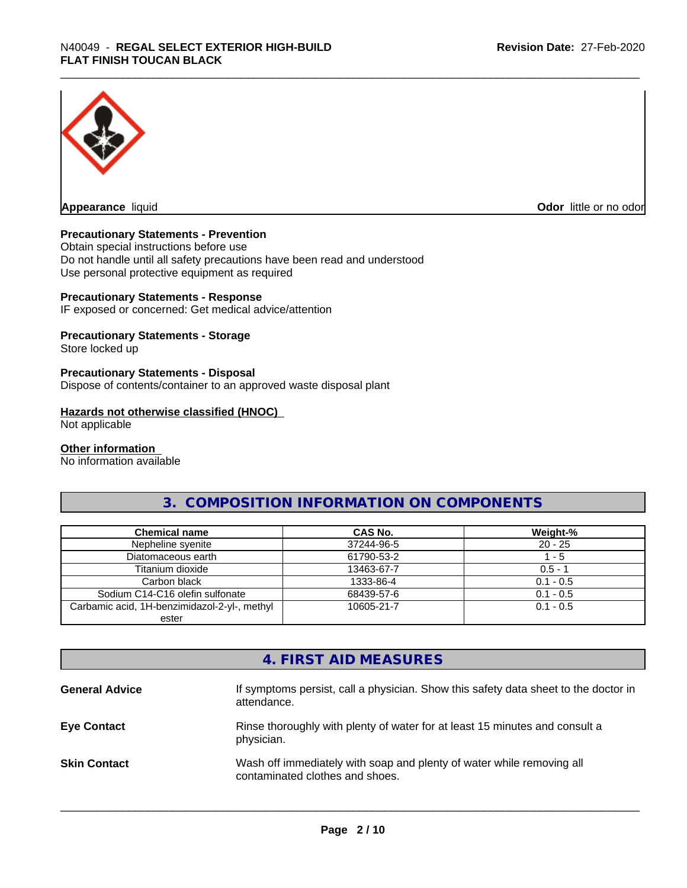

**Appearance** liquid **Odor in the original of the original of the original of the original of the original of the original of the original of the original of the original of the original of the original of the original of t** 

# **Precautionary Statements - Prevention**

Obtain special instructions before use Do not handle until all safety precautions have been read and understood Use personal protective equipment as required

# **Precautionary Statements - Response**

IF exposed or concerned: Get medical advice/attention

# **Precautionary Statements - Storage**

Store locked up

# **Precautionary Statements - Disposal**

Dispose of contents/container to an approved waste disposal plant

# **Hazards not otherwise classified (HNOC)**

Not applicable

## **Other information**

No information available

# **3. COMPOSITION INFORMATION ON COMPONENTS**

| <b>Chemical name</b>                         | <b>CAS No.</b> | Weight-%    |
|----------------------------------------------|----------------|-------------|
| Nepheline syenite                            | 37244-96-5     | $20 - 25$   |
| Diatomaceous earth                           | 61790-53-2     | l - 5       |
| Titanium dioxide                             | 13463-67-7     | $0.5 - 1$   |
| Carbon black                                 | 1333-86-4      | $0.1 - 0.5$ |
| Sodium C14-C16 olefin sulfonate              | 68439-57-6     | $0.1 - 0.5$ |
| Carbamic acid, 1H-benzimidazol-2-yl-, methyl | 10605-21-7     | $0.1 - 0.5$ |
| ester                                        |                |             |

# **4. FIRST AID MEASURES**

| <b>General Advice</b> | If symptoms persist, call a physician. Show this safety data sheet to the doctor in<br>attendance.       |
|-----------------------|----------------------------------------------------------------------------------------------------------|
| <b>Eye Contact</b>    | Rinse thoroughly with plenty of water for at least 15 minutes and consult a<br>physician.                |
| <b>Skin Contact</b>   | Wash off immediately with soap and plenty of water while removing all<br>contaminated clothes and shoes. |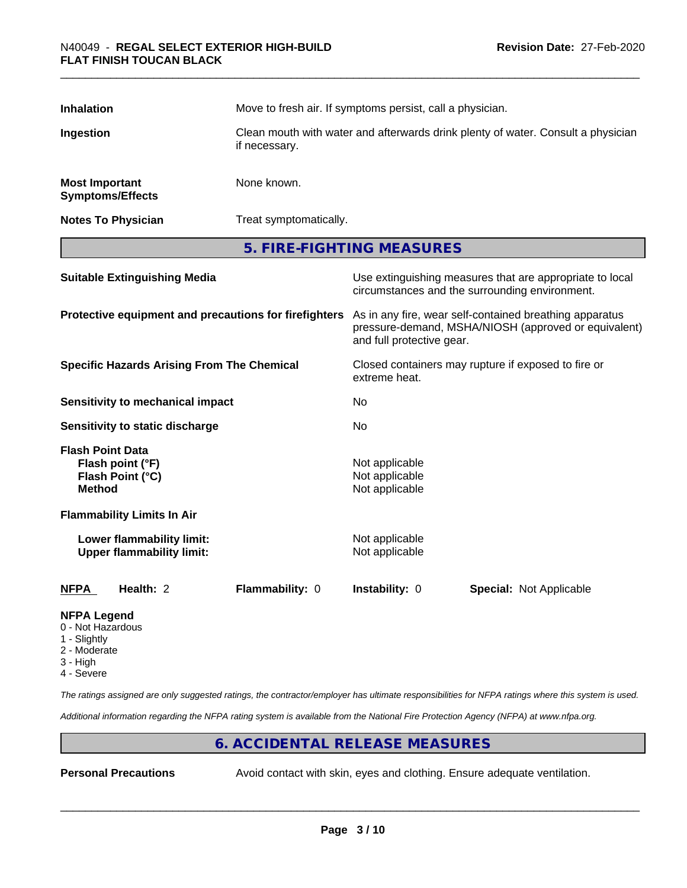| <b>Inhalation</b>                                                                |  | Move to fresh air. If symptoms persist, call a physician.                                         |                                                    |                                                                                                                 |  |
|----------------------------------------------------------------------------------|--|---------------------------------------------------------------------------------------------------|----------------------------------------------------|-----------------------------------------------------------------------------------------------------------------|--|
| Ingestion                                                                        |  | Clean mouth with water and afterwards drink plenty of water. Consult a physician<br>if necessary. |                                                    |                                                                                                                 |  |
| <b>Most Important</b><br><b>Symptoms/Effects</b>                                 |  | None known.                                                                                       |                                                    |                                                                                                                 |  |
| <b>Notes To Physician</b>                                                        |  | Treat symptomatically.                                                                            |                                                    |                                                                                                                 |  |
|                                                                                  |  |                                                                                                   | 5. FIRE-FIGHTING MEASURES                          |                                                                                                                 |  |
| <b>Suitable Extinguishing Media</b>                                              |  |                                                                                                   |                                                    | Use extinguishing measures that are appropriate to local<br>circumstances and the surrounding environment.      |  |
|                                                                                  |  | Protective equipment and precautions for firefighters                                             | and full protective gear.                          | As in any fire, wear self-contained breathing apparatus<br>pressure-demand, MSHA/NIOSH (approved or equivalent) |  |
| <b>Specific Hazards Arising From The Chemical</b>                                |  | Closed containers may rupture if exposed to fire or<br>extreme heat.                              |                                                    |                                                                                                                 |  |
| <b>Sensitivity to mechanical impact</b>                                          |  |                                                                                                   | No                                                 |                                                                                                                 |  |
| <b>Sensitivity to static discharge</b>                                           |  |                                                                                                   | No                                                 |                                                                                                                 |  |
| <b>Flash Point Data</b><br>Flash point (°F)<br>Flash Point (°C)<br><b>Method</b> |  |                                                                                                   | Not applicable<br>Not applicable<br>Not applicable |                                                                                                                 |  |
| <b>Flammability Limits In Air</b>                                                |  |                                                                                                   |                                                    |                                                                                                                 |  |
| Lower flammability limit:<br><b>Upper flammability limit:</b>                    |  |                                                                                                   | Not applicable<br>Not applicable                   |                                                                                                                 |  |
| Health: 2<br><b>NFPA</b>                                                         |  | Flammability: 0                                                                                   | Instability: 0                                     | <b>Special: Not Applicable</b>                                                                                  |  |
| <b>NFPA Legend</b><br>0 - Not Hazardous<br>1 - Slightly                          |  |                                                                                                   |                                                    |                                                                                                                 |  |

- Slightly
- 2 Moderate
- 3 High
- 4 Severe

*The ratings assigned are only suggested ratings, the contractor/employer has ultimate responsibilities for NFPA ratings where this system is used.*

*Additional information regarding the NFPA rating system is available from the National Fire Protection Agency (NFPA) at www.nfpa.org.*

# **6. ACCIDENTAL RELEASE MEASURES**

**Personal Precautions** Avoid contact with skin, eyes and clothing. Ensure adequate ventilation.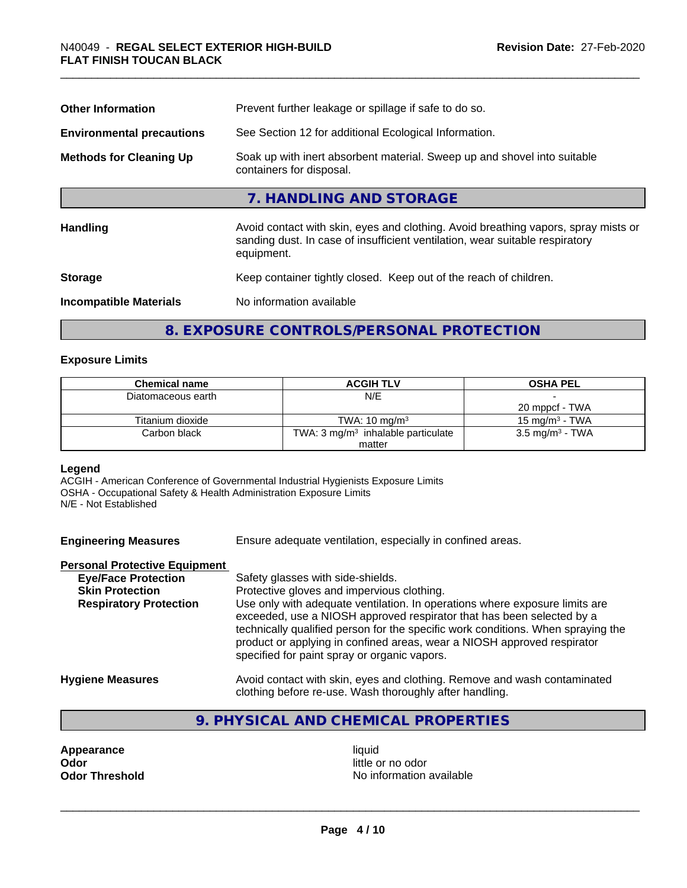| Prevent further leakage or spillage if safe to do so.                                                                                                                            |  |  |
|----------------------------------------------------------------------------------------------------------------------------------------------------------------------------------|--|--|
| See Section 12 for additional Ecological Information.                                                                                                                            |  |  |
| Soak up with inert absorbent material. Sweep up and shovel into suitable<br>containers for disposal.                                                                             |  |  |
| 7. HANDLING AND STORAGE                                                                                                                                                          |  |  |
| Avoid contact with skin, eyes and clothing. Avoid breathing vapors, spray mists or<br>sanding dust. In case of insufficient ventilation, wear suitable respiratory<br>equipment. |  |  |
| Keep container tightly closed. Keep out of the reach of children.                                                                                                                |  |  |
| No information available                                                                                                                                                         |  |  |
|                                                                                                                                                                                  |  |  |

# **8. EXPOSURE CONTROLS/PERSONAL PROTECTION**

# **Exposure Limits**

| <b>Chemical name</b> | <b>ACGIH TLV</b>                              | <b>OSHA PEL</b>            |
|----------------------|-----------------------------------------------|----------------------------|
| Diatomaceous earth   | N/E                                           |                            |
|                      |                                               | 20 mppcf - TWA             |
| Titanium dioxide     | TWA: $10 \text{ ma/m}^3$                      | 15 mg/m $3$ - TWA          |
| Carbon black         | TWA: $3 \text{ mg/m}^3$ inhalable particulate | $3.5 \text{ mg/m}^3$ - TWA |
|                      | matter                                        |                            |

# **Legend**

ACGIH - American Conference of Governmental Industrial Hygienists Exposure Limits OSHA - Occupational Safety & Health Administration Exposure Limits N/E - Not Established

**Engineering Measures** Ensure adequate ventilation, especially in confined areas.

# **Personal Protective Equipment**

| <b>Eye/Face Protection</b>    | Safety glasses with side-shields.                                                                                                                                                                                                                                                                                                                                   |
|-------------------------------|---------------------------------------------------------------------------------------------------------------------------------------------------------------------------------------------------------------------------------------------------------------------------------------------------------------------------------------------------------------------|
| <b>Skin Protection</b>        | Protective gloves and impervious clothing.                                                                                                                                                                                                                                                                                                                          |
| <b>Respiratory Protection</b> | Use only with adequate ventilation. In operations where exposure limits are<br>exceeded, use a NIOSH approved respirator that has been selected by a<br>technically qualified person for the specific work conditions. When spraying the<br>product or applying in confined areas, wear a NIOSH approved respirator<br>specified for paint spray or organic vapors. |
| <b>Hygiene Measures</b>       | Avoid contact with skin, eyes and clothing. Remove and wash contaminated                                                                                                                                                                                                                                                                                            |

# clothing before re-use. Wash thoroughly after handling. **9. PHYSICAL AND CHEMICAL PROPERTIES**

**Appearance** liquid **and a limitation of the contract of the contract of the contract of the contract of the contract of the contract of the contract of the contract of the contract of the contract of the contract of the c** 

little or no odor **Odor Threshold No information available No information available**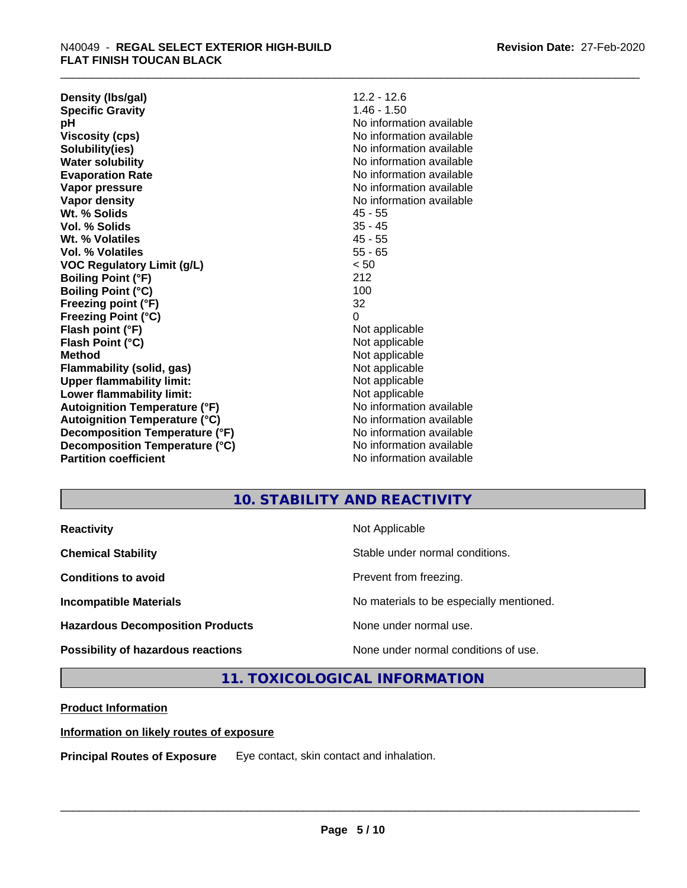**Density (lbs/gal)** 12.2 - 12.6<br> **Specific Gravity** 1.46 - 1.50 **Specific Gravity pH** No information available **Viscosity (cps)** No information available **Solubility(ies)** No information available **Water solubility** No information available **Evaporation Rate** Note 2008 and 2009 No information available **Vapor pressure** No information available in the North American Monte available in the North American available **Vapor density** No information available values and values of  $\alpha$  No information available **Wt. % Solids** 45 - 55 **Vol. % Solids** 35 - 45 **Wt. % Volatiles** 45 - 55 **Vol. % Volatiles** 55 - 65 **VOC Regulatory Limit (g/L)** < 50 **Boiling Point (°F)** 212 **Boiling Point**  $(^{\circ}C)$  100 **Freezing point (°F)** 32 **Freezing Point (°C)** 0 **Flash point (°F)**<br> **Flash Point (°C)**<br> **Flash Point (°C)**<br> **C Flash Point (°C) Method** Not applicable **Flammability (solid, gas)** Not applicable **Upper flammability limit:**<br> **Lower flammability limit:**<br>
Not applicable<br>
Not applicable **Lower flammability limit:**<br> **Autoignition Temperature (°F)** Not applicable havailable available **Autoignition Temperature (°F)**<br> **Autoignition Temperature (°C)** No information available **Autoignition Temperature (°C) Decomposition Temperature (°F)** No information available **Decomposition Temperature (°C)**<br> **Partition coefficient**<br> **Partition coefficient**<br> **No** information available

**No information available** 

# **10. STABILITY AND REACTIVITY**

| <b>Reactivity</b>                       | Not Applicable                           |
|-----------------------------------------|------------------------------------------|
| <b>Chemical Stability</b>               | Stable under normal conditions.          |
| <b>Conditions to avoid</b>              | Prevent from freezing.                   |
| <b>Incompatible Materials</b>           | No materials to be especially mentioned. |
| <b>Hazardous Decomposition Products</b> | None under normal use.                   |
| Possibility of hazardous reactions      | None under normal conditions of use.     |

**11. TOXICOLOGICAL INFORMATION**

# **Product Information**

# **Information on likely routes of exposure**

**Principal Routes of Exposure** Eye contact, skin contact and inhalation.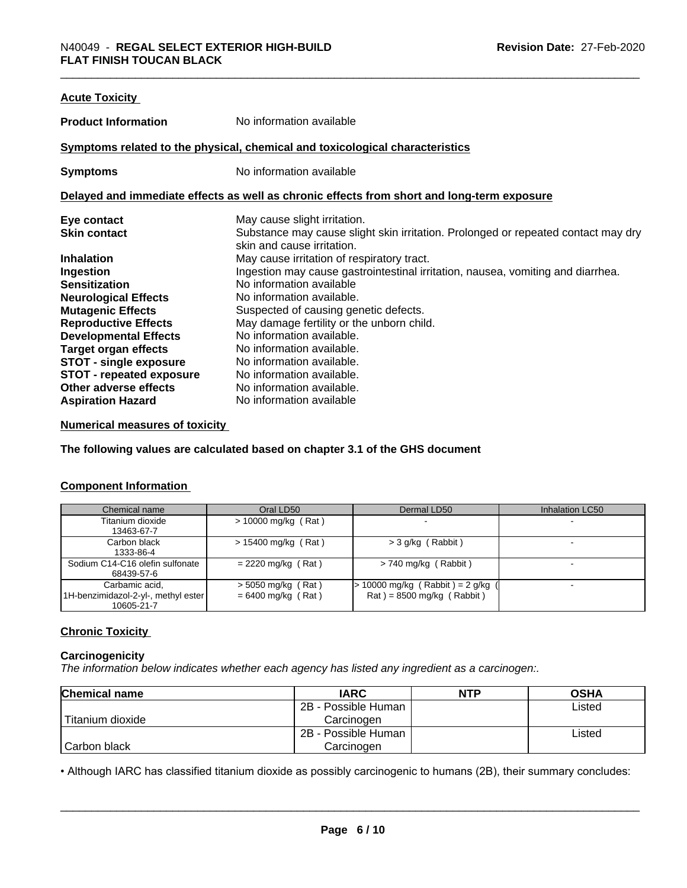| <b>Acute Toxicity</b>           |                                                                                            |
|---------------------------------|--------------------------------------------------------------------------------------------|
| <b>Product Information</b>      | No information available                                                                   |
|                                 | Symptoms related to the physical, chemical and toxicological characteristics               |
| <b>Symptoms</b>                 | No information available                                                                   |
|                                 | Delayed and immediate effects as well as chronic effects from short and long-term exposure |
| Eye contact                     | May cause slight irritation.                                                               |
| <b>Skin contact</b>             | Substance may cause slight skin irritation. Prolonged or repeated contact may dry          |
|                                 | skin and cause irritation.                                                                 |
| <b>Inhalation</b>               | May cause irritation of respiratory tract.                                                 |
| Ingestion                       | Ingestion may cause gastrointestinal irritation, nausea, vomiting and diarrhea.            |
| <b>Sensitization</b>            | No information available                                                                   |
| <b>Neurological Effects</b>     | No information available.                                                                  |
| <b>Mutagenic Effects</b>        | Suspected of causing genetic defects.                                                      |
| <b>Reproductive Effects</b>     | May damage fertility or the unborn child.                                                  |
| <b>Developmental Effects</b>    | No information available.                                                                  |
| <b>Target organ effects</b>     | No information available.                                                                  |
| <b>STOT - single exposure</b>   | No information available.                                                                  |
| <b>STOT - repeated exposure</b> | No information available.                                                                  |
| Other adverse effects           | No information available.                                                                  |
| <b>Aspiration Hazard</b>        | No information available                                                                   |
|                                 |                                                                                            |

# **Numerical measures of toxicity**

**The following values are calculated based on chapter 3.1 of the GHS document**

# **Component Information**

| Chemical name                       | Oral LD50             | Dermal LD50                       | Inhalation LC50 |
|-------------------------------------|-----------------------|-----------------------------------|-----------------|
| Titanium dioxide                    | $>$ 10000 mg/kg (Rat) |                                   |                 |
| 13463-67-7                          |                       |                                   |                 |
| Carbon black                        | $> 15400$ mg/kg (Rat) | $>$ 3 g/kg (Rabbit)               |                 |
| 1333-86-4                           |                       |                                   |                 |
| Sodium C14-C16 olefin sulfonate     | $= 2220$ mg/kg (Rat)  | $> 740$ mg/kg (Rabbit)            |                 |
| 68439-57-6                          |                       |                                   |                 |
| Carbamic acid,                      | $>$ 5050 mg/kg (Rat)  | $> 10000$ mg/kg (Rabbit) = 2 g/kg |                 |
| 1H-benzimidazol-2-yl-, methyl ester | $= 6400$ mg/kg (Rat)  | $Rat$ = 8500 mg/kg (Rabbit)       |                 |
| 10605-21-7                          |                       |                                   |                 |

# **Chronic Toxicity**

# **Carcinogenicity**

*The information below indicateswhether each agency has listed any ingredient as a carcinogen:.*

| <b>Chemical name</b> | <b>IARC</b>         | <b>NTP</b> | <b>OSHA</b> |
|----------------------|---------------------|------------|-------------|
|                      | 2B - Possible Human |            | Listed      |
| Titanium dioxide     | Carcinoɑen          |            |             |
|                      | 2B - Possible Human |            | Listed      |
| Carbon black         | Carcinogen          |            |             |

• Although IARC has classified titanium dioxide as possibly carcinogenic to humans (2B), their summary concludes:<br> **Page 6/10**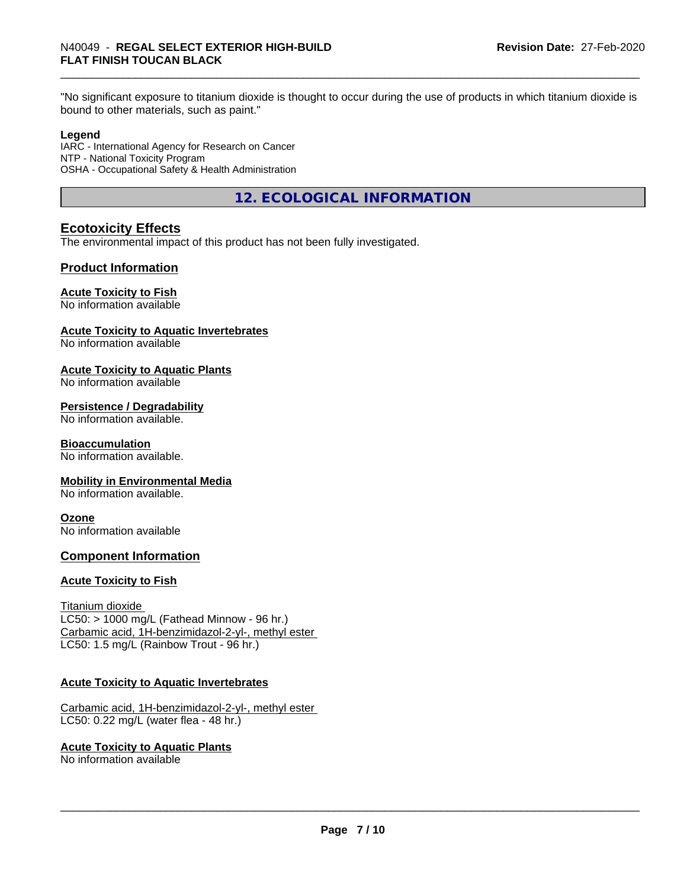"No significant exposure to titanium dioxide is thought to occur during the use of products in which titanium dioxide is bound to other materials, such as paint."

# **Legend**

IARC - International Agency for Research on Cancer NTP - National Toxicity Program OSHA - Occupational Safety & Health Administration

**12. ECOLOGICAL INFORMATION**

# **Ecotoxicity Effects**

The environmental impact of this product has not been fully investigated.

# **Product Information**

# **Acute Toxicity to Fish**

No information available

# **Acute Toxicity to Aquatic Invertebrates**

No information available

# **Acute Toxicity to Aquatic Plants**

No information available

# **Persistence / Degradability**

No information available.

# **Bioaccumulation**

No information available.

# **Mobility in Environmental Media**

No information available.

# **Ozone**

No information available

# **Component Information**

# **Acute Toxicity to Fish**

Titanium dioxide  $LC50:$  > 1000 mg/L (Fathead Minnow - 96 hr.) Carbamic acid, 1H-benzimidazol-2-yl-, methyl ester LC50: 1.5 mg/L (Rainbow Trout - 96 hr.)

# **Acute Toxicity to Aquatic Invertebrates**

Carbamic acid, 1H-benzimidazol-2-yl-, methyl ester LC50: 0.22 mg/L (water flea - 48 hr.)

# **Acute Toxicity to Aquatic Plants**

No information available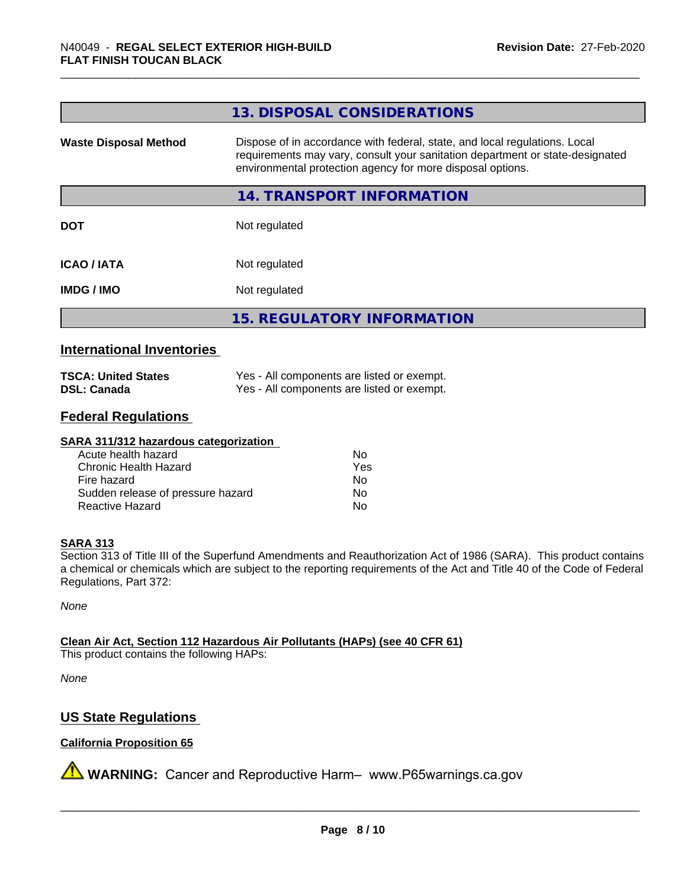|                              | 13. DISPOSAL CONSIDERATIONS                                                                                                                                                                                               |
|------------------------------|---------------------------------------------------------------------------------------------------------------------------------------------------------------------------------------------------------------------------|
| <b>Waste Disposal Method</b> | Dispose of in accordance with federal, state, and local regulations. Local<br>requirements may vary, consult your sanitation department or state-designated<br>environmental protection agency for more disposal options. |
|                              | <b>14. TRANSPORT INFORMATION</b>                                                                                                                                                                                          |
| <b>DOT</b>                   | Not regulated                                                                                                                                                                                                             |
| <b>ICAO/IATA</b>             | Not regulated                                                                                                                                                                                                             |
| <b>IMDG/IMO</b>              | Not regulated                                                                                                                                                                                                             |
|                              | <b>15. REGULATORY INFORMATION</b>                                                                                                                                                                                         |

# **International Inventories**

| <b>TSCA: United States</b> | Yes - All components are listed or exempt. |
|----------------------------|--------------------------------------------|
| <b>DSL: Canada</b>         | Yes - All components are listed or exempt. |

# **Federal Regulations**

# **SARA 311/312 hazardous categorization**

| Acute health hazard               | Nο  |
|-----------------------------------|-----|
| Chronic Health Hazard             | Yes |
| Fire hazard                       | Nο  |
| Sudden release of pressure hazard | N٥  |
| Reactive Hazard                   | N٥  |

# **SARA 313**

Section 313 of Title III of the Superfund Amendments and Reauthorization Act of 1986 (SARA). This product contains a chemical or chemicals which are subject to the reporting requirements of the Act and Title 40 of the Code of Federal Regulations, Part 372:

*None*

**Clean Air Act,Section 112 Hazardous Air Pollutants (HAPs) (see 40 CFR 61)**

This product contains the following HAPs:

*None*

# **US State Regulations**

# **California Proposition 65**

**A** WARNING: Cancer and Reproductive Harm– www.P65warnings.ca.gov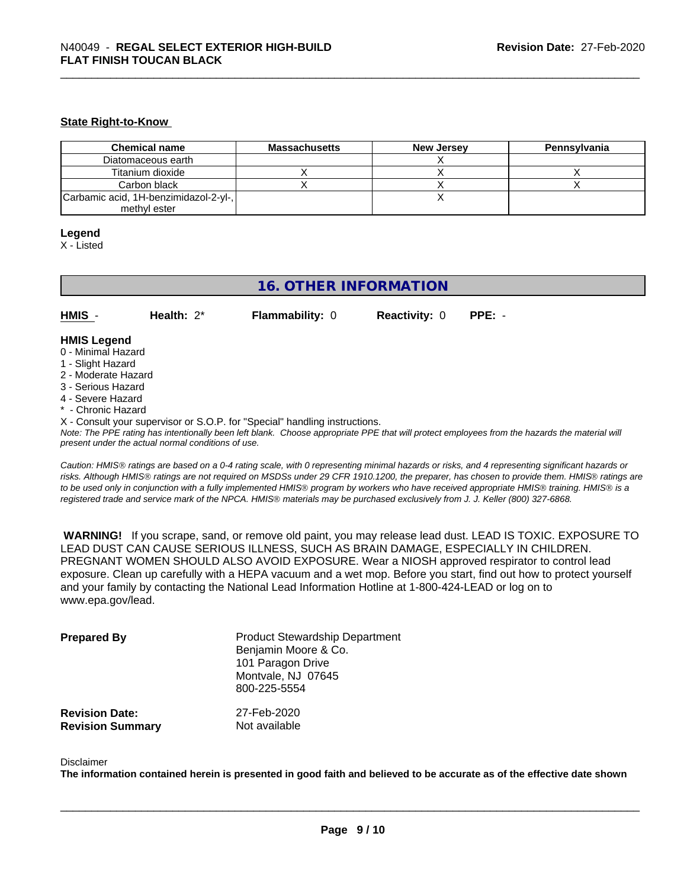# **State Right-to-Know**

| <b>Chemical name</b>                  | <b>Massachusetts</b> | <b>New Jersey</b> | Pennsylvania |
|---------------------------------------|----------------------|-------------------|--------------|
| Diatomaceous earth                    |                      |                   |              |
| Titanium dioxide                      |                      |                   |              |
| Carbon black                          |                      |                   |              |
| Carbamic acid, 1H-benzimidazol-2-yl-, |                      |                   |              |
| methyl ester                          |                      |                   |              |

### **Legend**

X - Listed

# **16. OTHER INFORMATION**

**HMIS** - **Health:** 2\* **Flammability:** 0 **Reactivity:** 0 **PPE:** -

# **HMIS Legend**

- 0 Minimal Hazard
- 1 Slight Hazard
- 2 Moderate Hazard
- 3 Serious Hazard
- 4 Severe Hazard
- Chronic Hazard
- X Consult your supervisor or S.O.P. for "Special" handling instructions.

*Note: The PPE rating has intentionally been left blank. Choose appropriate PPE that will protect employees from the hazards the material will present under the actual normal conditions of use.*

*Caution: HMISÒ ratings are based on a 0-4 rating scale, with 0 representing minimal hazards or risks, and 4 representing significant hazards or risks. Although HMISÒ ratings are not required on MSDSs under 29 CFR 1910.1200, the preparer, has chosen to provide them. HMISÒ ratings are to be used only in conjunction with a fully implemented HMISÒ program by workers who have received appropriate HMISÒ training. HMISÒ is a registered trade and service mark of the NPCA. HMISÒ materials may be purchased exclusively from J. J. Keller (800) 327-6868.*

 **WARNING!** If you scrape, sand, or remove old paint, you may release lead dust. LEAD IS TOXIC. EXPOSURE TO LEAD DUST CAN CAUSE SERIOUS ILLNESS, SUCH AS BRAIN DAMAGE, ESPECIALLY IN CHILDREN. PREGNANT WOMEN SHOULD ALSO AVOID EXPOSURE. Wear a NIOSH approved respirator to control lead exposure. Clean up carefully with a HEPA vacuum and a wet mop. Before you start, find out how to protect yourself and your family by contacting the National Lead Information Hotline at 1-800-424-LEAD or log on to www.epa.gov/lead.

| <b>Prepared By</b>      | <b>Product Stewardship Department</b><br>Benjamin Moore & Co.<br>101 Paragon Drive<br>Montvale, NJ 07645<br>800-225-5554 |
|-------------------------|--------------------------------------------------------------------------------------------------------------------------|
| <b>Revision Date:</b>   | 27-Feb-2020                                                                                                              |
| <b>Revision Summary</b> | Not available                                                                                                            |

#### Disclaimer

The information contained herein is presented in good faith and believed to be accurate as of the effective date shown